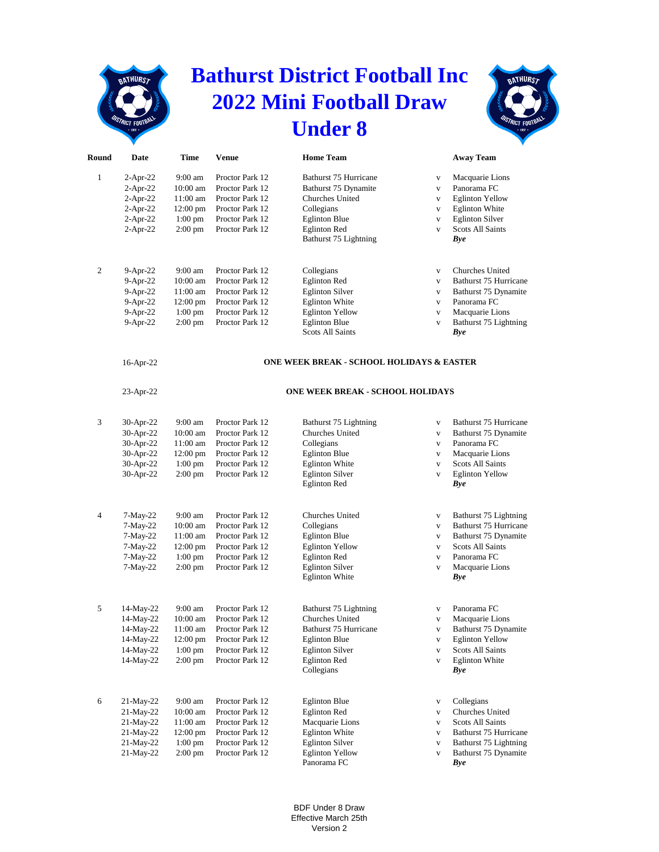## **BATHURST**

## **Bathurst District Football Inc 2022 Mini Football Draw Under 8**



| Round        | Date         | Time               | <b>Venue</b>    | <b>Home Team</b>                                     |              | <b>Away Team</b>             |
|--------------|--------------|--------------------|-----------------|------------------------------------------------------|--------------|------------------------------|
| $\mathbf{1}$ | $2-Apr-22$   | 9:00 am            | Proctor Park 12 | Bathurst 75 Hurricane                                | $\mathbf V$  | Macquarie Lions              |
|              | $2-Apr-22$   | 10:00 am           | Proctor Park 12 | Bathurst 75 Dynamite                                 | $\mathbf{V}$ | Panorama FC                  |
|              | $2-Apr-22$   | 11:00 am           | Proctor Park 12 | Churches United                                      | $\mathbf{V}$ | <b>Eglinton Yellow</b>       |
|              | $2-Apr-22$   | $12:00 \text{ pm}$ | Proctor Park 12 | Collegians                                           | V            | <b>Eglinton White</b>        |
|              | $2-Apr-22$   | $1:00$ pm          | Proctor Park 12 | <b>Eglinton Blue</b>                                 | $\mathbf V$  | <b>Eglinton Silver</b>       |
|              | $2-Apr-22$   | $2:00$ pm          | Proctor Park 12 | <b>Eglinton Red</b>                                  | $\mathbf{V}$ | <b>Scots All Saints</b>      |
|              |              |                    |                 | Bathurst 75 Lightning                                |              | Bye                          |
| 2            | $9-Apr-22$   | $9:00$ am          | Proctor Park 12 | Collegians                                           | $\mathbf{V}$ | Churches United              |
|              | 9-Apr-22     | 10:00 am           | Proctor Park 12 | <b>Eglinton Red</b>                                  | V            | Bathurst 75 Hurricane        |
|              | 9-Apr-22     | 11:00 am           | Proctor Park 12 | <b>Eglinton Silver</b>                               | $\mathbf{V}$ | Bathurst 75 Dynamite         |
|              | $9-Apr-22$   | $12:00 \text{ pm}$ | Proctor Park 12 | <b>Eglinton White</b>                                | $\mathbf{V}$ | Panorama FC                  |
|              | 9-Apr-22     | $1:00$ pm          | Proctor Park 12 | <b>Eglinton Yellow</b>                               | $\mathbf{V}$ | Macquarie Lions              |
|              | 9-Apr-22     | $2:00$ pm          | Proctor Park 12 | <b>Eglinton Blue</b>                                 | $\mathbf V$  | Bathurst 75 Lightning        |
|              |              |                    |                 | <b>Scots All Saints</b>                              |              | Bye                          |
|              | 16-Apr-22    |                    |                 | <b>ONE WEEK BREAK - SCHOOL HOLIDAYS &amp; EASTER</b> |              |                              |
|              | $23$ -Apr-22 |                    |                 | ONE WEEK BREAK - SCHOOL HOLIDAYS                     |              |                              |
| 3            | 30-Apr-22    | 9:00 am            | Proctor Park 12 | Bathurst 75 Lightning                                | $\mathbf{V}$ | Bathurst 75 Hurricane        |
|              | 30-Apr-22    | 10:00 am           | Proctor Park 12 | <b>Churches United</b>                               | $\mathbf{V}$ | Bathurst 75 Dynamite         |
|              | 30-Apr-22    | 11:00 am           | Proctor Park 12 | Collegians                                           | $\mathbf{V}$ | Panorama FC                  |
|              | 30-Apr-22    | 12:00 pm           | Proctor Park 12 | <b>Eglinton Blue</b>                                 | $\mathbf{V}$ | Macquarie Lions              |
|              | 30-Apr-22    | $1:00$ pm          | Proctor Park 12 | <b>Eglinton White</b>                                | $\mathbf{V}$ | <b>Scots All Saints</b>      |
|              | 30-Apr-22    | $2:00$ pm          | Proctor Park 12 | <b>Eglinton Silver</b>                               | $\mathbf{V}$ | <b>Eglinton Yellow</b>       |
|              |              |                    |                 | <b>Eglinton Red</b>                                  |              | Bye                          |
| 4            | 7-May-22     | $9:00$ am          | Proctor Park 12 | Churches United                                      | $\mathbf{V}$ | Bathurst 75 Lightning        |
|              | $7-May-22$   | 10:00 am           | Proctor Park 12 | Collegians                                           | $\mathbf{V}$ | Bathurst 75 Hurricane        |
|              | $7-May-22$   | 11:00 am           | Proctor Park 12 | <b>Eglinton Blue</b>                                 | $\mathbf{V}$ | Bathurst 75 Dynamite         |
|              | 7-May-22     | 12:00 pm           | Proctor Park 12 | <b>Eglinton Yellow</b>                               | $\mathbf{V}$ | <b>Scots All Saints</b>      |
|              | $7-May-22$   | $1:00$ pm          | Proctor Park 12 | <b>Eglinton Red</b>                                  | $\mathbf{V}$ | Panorama FC                  |
|              | $7-May-22$   | $2:00$ pm          | Proctor Park 12 | <b>Eglinton Silver</b><br><b>Eglinton White</b>      | $\mathbf V$  | Macquarie Lions<br>Bye       |
| 5            | 14-May-22    | 9:00 am            | Proctor Park 12 | Bathurst 75 Lightning                                | $\mathbf{V}$ | Panorama FC                  |
|              | 14-May-22    | 10:00 am           | Proctor Park 12 | Churches United                                      | $\mathbf V$  | Macquarie Lions              |
|              | 14-May-22    | 11:00 am           | Proctor Park 12 | Bathurst 75 Hurricane                                | $\mathbf V$  | Bathurst 75 Dynamite         |
|              | 14-May-22    | 12:00 pm           | Proctor Park 12 | <b>Eglinton Blue</b>                                 | $\mathbf V$  | <b>Eglinton Yellow</b>       |
|              | 14-May-22    | $1:00$ pm          | Proctor Park 12 | <b>Eglinton Silver</b>                               | $\mathbf V$  | <b>Scots All Saints</b>      |
|              | 14-May-22    | $2:00 \text{ pm}$  | Proctor Park 12 | <b>Eglinton Red</b><br>Collegians                    | $\mathbf V$  | <b>Eglinton White</b><br>Bye |
| 6            | 21-May-22    | 9:00 am            | Proctor Park 12 | <b>Eglinton Blue</b>                                 | $\mathbf{V}$ | Collegians                   |
|              | 21-May-22    | 10:00 am           | Proctor Park 12 | <b>Eglinton Red</b>                                  | $\mathbf V$  | Churches United              |
|              | 21-May-22    | 11:00 am           | Proctor Park 12 | Macquarie Lions                                      | $\mathbf{V}$ | <b>Scots All Saints</b>      |
|              | 21-May-22    | 12:00 pm           | Proctor Park 12 | <b>Eglinton White</b>                                | $\mathbf{V}$ | Bathurst 75 Hurricane        |

- 
- 21-May-22 1:00 pm Proctor Park 12 Eglinton Silver v Bathurst 75 Lightning<br>21-May-22 2:00 pm Proctor Park 12 Eglinton Yellow v Bathurst 75 Dynamite 2:00 pm Proctor Park 12 Eglinton Yellow v Panorama FC *Bye*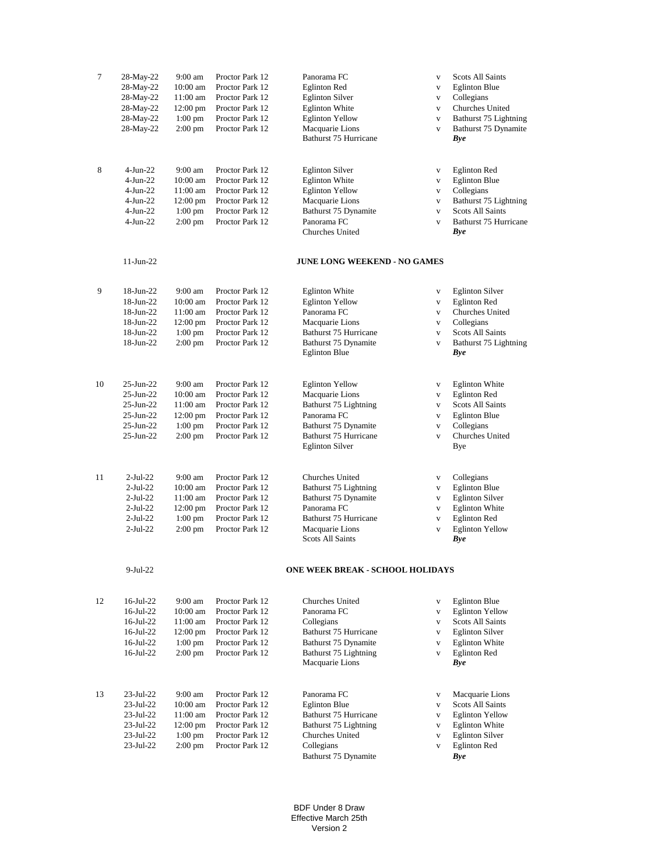| $\tau$ | 28-May-22       | 9:00 am            | Proctor Park 12 | Panorama FC                             | $\mathbf{V}$                 | <b>Scots All Saints</b> |
|--------|-----------------|--------------------|-----------------|-----------------------------------------|------------------------------|-------------------------|
|        | 28-May-22       | 10:00 am           | Proctor Park 12 | <b>Eglinton Red</b>                     | $\mathbf{V}$                 | <b>Eglinton Blue</b>    |
|        | 28-May-22       | 11:00 am           | Proctor Park 12 | <b>Eglinton Silver</b>                  | $\mathbf{V}$                 | Collegians              |
|        | 28-May-22       | $12:00 \text{ pm}$ | Proctor Park 12 | <b>Eglinton White</b>                   | $\mathbf{V}$                 | Churches United         |
|        | 28-May-22       | $1:00$ pm          | Proctor Park 12 | <b>Eglinton Yellow</b>                  | $\mathbf{V}$                 | Bathurst 75 Lightning   |
|        | 28-May-22       | $2:00$ pm          | Proctor Park 12 | Macquarie Lions                         | $\mathbf{V}$                 | Bathurst 75 Dynamite    |
|        |                 |                    |                 | Bathurst 75 Hurricane                   |                              | <b>Bye</b>              |
|        |                 |                    |                 |                                         |                              |                         |
| 8      | $4-Jun-22$      | 9:00 am            | Proctor Park 12 | <b>Eglinton Silver</b>                  | $\mathbf{V}$                 | <b>Eglinton Red</b>     |
|        | $4-Jun-22$      | 10:00 am           | Proctor Park 12 | <b>Eglinton White</b>                   | $\mathbf V$                  | <b>Eglinton Blue</b>    |
|        | $4-Jun-22$      | 11:00 am           | Proctor Park 12 | <b>Eglinton Yellow</b>                  | $\mathbf{V}$                 | Collegians              |
|        | $4$ -Jun-22     | 12:00 pm           | Proctor Park 12 | Macquarie Lions                         | $\mathbf V$                  | Bathurst 75 Lightning   |
|        | $4$ -Jun-22     | $1:00$ pm          | Proctor Park 12 | Bathurst 75 Dynamite                    | $\mathbf{V}$                 | <b>Scots All Saints</b> |
|        | 4-Jun-22        | $2:00$ pm          | Proctor Park 12 | Panorama FC                             | $\mathbf{V}$                 | Bathurst 75 Hurricane   |
|        |                 |                    |                 | Churches United                         |                              | Bye                     |
|        | $11$ -Jun-22    |                    |                 | <b>JUNE LONG WEEKEND - NO GAMES</b>     |                              |                         |
| 9      | 18-Jun-22       | 9:00 am            | Proctor Park 12 | <b>Eglinton White</b>                   |                              | <b>Eglinton Silver</b>  |
|        | 18-Jun-22       | $10:00$ am         | Proctor Park 12 | <b>Eglinton Yellow</b>                  | $\mathbf V$<br>$\mathbf{V}$  | <b>Eglinton Red</b>     |
|        | 18-Jun-22       | $11:00$ am         | Proctor Park 12 | Panorama FC                             | $\mathbf{V}$                 | Churches United         |
|        | 18-Jun-22       | $12:00 \text{ pm}$ | Proctor Park 12 | Macquarie Lions                         | $\mathbf{V}$                 | Collegians              |
|        | 18-Jun-22       | $1:00$ pm          | Proctor Park 12 | Bathurst 75 Hurricane                   | $\mathbf{V}$                 | <b>Scots All Saints</b> |
|        | 18-Jun-22       | 2:00 pm            | Proctor Park 12 | Bathurst 75 Dynamite                    | $\mathbf{V}$                 | Bathurst 75 Lightning   |
|        |                 |                    |                 | <b>Eglinton Blue</b>                    |                              | <b>Bye</b>              |
|        |                 |                    |                 |                                         |                              |                         |
| 10     | $25$ -Jun- $22$ | 9:00 am            | Proctor Park 12 | <b>Eglinton Yellow</b>                  | $\mathbf{V}$                 | <b>Eglinton White</b>   |
|        | $25$ -Jun- $22$ | 10:00 am           | Proctor Park 12 | Macquarie Lions                         | $\mathbf{V}$                 | <b>Eglinton Red</b>     |
|        | 25-Jun-22       | 11:00 am           | Proctor Park 12 | Bathurst 75 Lightning                   | $\mathbf{V}$                 | <b>Scots All Saints</b> |
|        | $25$ -Jun- $22$ | 12:00 pm           | Proctor Park 12 | Panorama FC                             | $\mathbf{V}$                 | <b>Eglinton Blue</b>    |
|        | 25-Jun-22       | $1:00$ pm          | Proctor Park 12 | Bathurst 75 Dynamite                    | $\mathbf{V}$                 | Collegians              |
|        | $25$ -Jun- $22$ | $2:00$ pm          | Proctor Park 12 | Bathurst 75 Hurricane                   | $\mathbf{V}$                 | Churches United         |
|        |                 |                    |                 | <b>Eglinton Silver</b>                  |                              | Bye                     |
| 11     | $2$ -Jul-22     | 9:00 am            | Proctor Park 12 | Churches United                         |                              | Collegians              |
|        | $2$ -Jul-22     | 10:00 am           | Proctor Park 12 | Bathurst 75 Lightning                   | $\mathbf{V}$                 | <b>Eglinton Blue</b>    |
|        | $2$ -Jul-22     | 11:00 am           | Proctor Park 12 | Bathurst 75 Dynamite                    | $\mathbf{V}$<br>$\mathbf{V}$ | <b>Eglinton Silver</b>  |
|        | $2$ -Jul-22     | $12:00 \text{ pm}$ | Proctor Park 12 | Panorama FC                             | $\mathbf{V}$                 | <b>Eglinton White</b>   |
|        | $2$ -Jul-22     | $1:00$ pm          | Proctor Park 12 | Bathurst 75 Hurricane                   | $\mathbf{V}$                 | <b>Eglinton Red</b>     |
|        | $2$ -Jul-22     | $2:00$ pm          | Proctor Park 12 | Macquarie Lions                         | $\mathbf{V}$                 | <b>Eglinton Yellow</b>  |
|        |                 |                    |                 | <b>Scots All Saints</b>                 |                              | <b>Bye</b>              |
|        | $9-Jul-22$      |                    |                 | <b>ONE WEEK BREAK - SCHOOL HOLIDAYS</b> |                              |                         |
|        |                 |                    |                 |                                         |                              |                         |
| 12     | $16$ -Jul-22    | $9:00 \text{ am}$  | Proctor Park 12 | <b>Churches United</b>                  | V                            | <b>Eglinton Blue</b>    |
|        | $16$ -Jul-22    | $10:00$ am         | Proctor Park 12 | Panorama FC                             | $\mathbf{V}$                 | <b>Eglinton Yellow</b>  |
|        | $16$ -Jul-22    | $11:00$ am         | Proctor Park 12 | Collegians                              | $\mathbf V$                  | <b>Scots All Saints</b> |
|        | $16$ -Jul-22    | $12:00$ pm         | Proctor Park 12 | Bathurst 75 Hurricane                   | V                            | <b>Eglinton Silver</b>  |
|        | $16$ -Jul-22    | $1:00$ pm          | Proctor Park 12 | Bathurst 75 Dynamite                    | $\mathbf{V}$                 | <b>Eglinton White</b>   |
|        | $16$ -Jul-22    | $2:00$ pm          | Proctor Park 12 | Bathurst 75 Lightning                   | V                            | <b>Eglinton Red</b>     |
|        |                 |                    |                 | Macquarie Lions                         |                              | <b>Bye</b>              |
| 13     | 23-Jul-22       | 9:00 am            | Proctor Park 12 | Panorama FC                             | $\mathbf{V}$                 | Macquarie Lions         |
|        | 23-Jul-22       | $10:00$ am         | Proctor Park 12 | <b>Eglinton Blue</b>                    | $\mathbf{V}$                 | <b>Scots All Saints</b> |
|        | 23-Jul-22       | 11:00 am           | Proctor Park 12 | Bathurst 75 Hurricane                   | $\mathbf{V}$                 | <b>Eglinton Yellow</b>  |
|        | 23-Jul-22       | 12:00 pm           | Proctor Park 12 | Bathurst 75 Lightning                   | $\mathbf{V}$                 | <b>Eglinton White</b>   |
|        | 23-Jul-22       | $1:00$ pm          | Proctor Park 12 | Churches United                         | V                            | <b>Eglinton Silver</b>  |
|        | 23-Jul-22       | $2:00 \text{ pm}$  | Proctor Park 12 | Collegians                              | $\mathbf V$                  | <b>Eglinton Red</b>     |
|        |                 |                    |                 | Bathurst 75 Dynamite                    |                              | Bye                     |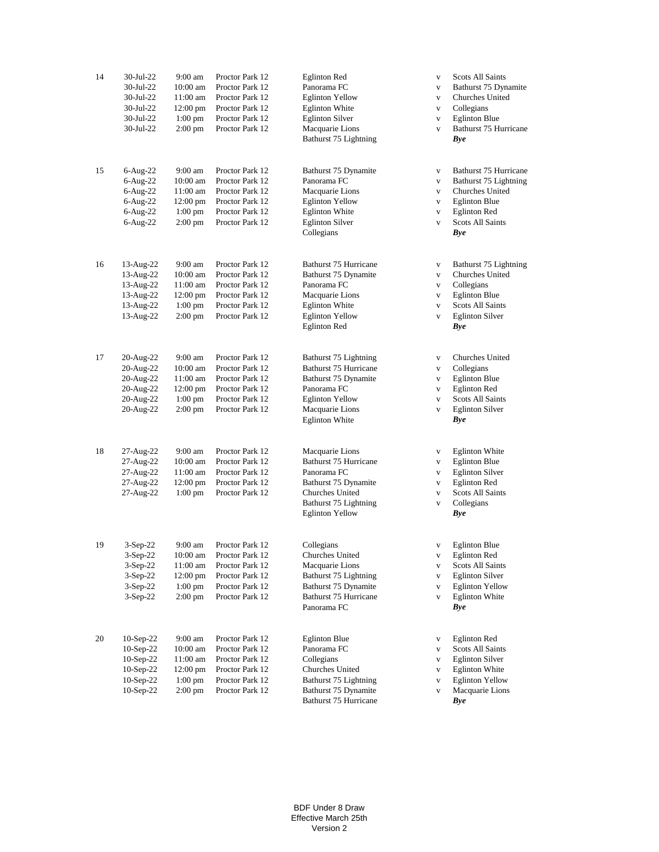| 14 | 30-Jul-22<br>30-Jul-22<br>30-Jul-22<br>30-Jul-22<br>30-Jul-22<br>30-Jul-22       | $9:00 \text{ am}$<br>10:00 am<br>11:00 am<br>$12:00 \text{ pm}$<br>$1:00$ pm<br>$2:00$ pm | Proctor Park 12<br>Proctor Park 12<br>Proctor Park 12<br>Proctor Park 12<br>Proctor Park 12<br>Proctor Park 12 | <b>Eglinton Red</b><br>Panorama FC<br><b>Eglinton Yellow</b><br><b>Eglinton White</b><br><b>Eglinton Silver</b><br>Macquarie Lions<br>Bathurst 75 Lightning | $\mathbf{V}$<br>$\mathbf{V}$<br>$\mathbf{V}$<br>$\mathbf{V}$<br>$\mathbf{V}$<br>$\mathbf{V}$ | <b>Scots All Saints</b><br>Bathurst 75 Dynamite<br>Churches United<br>Collegians<br><b>Eglinton Blue</b><br>Bathurst 75 Hurricane<br>Bye              |
|----|----------------------------------------------------------------------------------|-------------------------------------------------------------------------------------------|----------------------------------------------------------------------------------------------------------------|-------------------------------------------------------------------------------------------------------------------------------------------------------------|----------------------------------------------------------------------------------------------|-------------------------------------------------------------------------------------------------------------------------------------------------------|
| 15 | 6-Aug-22<br>6-Aug-22<br>$6$ -Aug-22<br>$6$ -Aug-22<br>$6$ -Aug-22<br>$6$ -Aug-22 | 9:00 am<br>10:00 am<br>11:00 am<br>12:00 pm<br>$1:00$ pm<br>$2:00$ pm                     | Proctor Park 12<br>Proctor Park 12<br>Proctor Park 12<br>Proctor Park 12<br>Proctor Park 12<br>Proctor Park 12 | Bathurst 75 Dynamite<br>Panorama FC<br>Macquarie Lions<br><b>Eglinton Yellow</b><br><b>Eglinton White</b><br><b>Eglinton Silver</b><br>Collegians           | $\mathbf{V}$<br>$\mathbf{V}$<br>$\mathbf{V}$<br>$\mathbf{V}$<br>$\mathbf{V}$<br>$\mathbf{V}$ | Bathurst 75 Hurricane<br>Bathurst 75 Lightning<br>Churches United<br><b>Eglinton Blue</b><br><b>Eglinton Red</b><br><b>Scots All Saints</b><br>Bye    |
| 16 | 13-Aug-22<br>13-Aug-22<br>13-Aug-22<br>13-Aug-22<br>13-Aug-22<br>13-Aug-22       | 9:00 am<br>10:00 am<br>11:00 am<br>$12:00 \text{ pm}$<br>$1:00$ pm<br>$2:00$ pm           | Proctor Park 12<br>Proctor Park 12<br>Proctor Park 12<br>Proctor Park 12<br>Proctor Park 12<br>Proctor Park 12 | Bathurst 75 Hurricane<br>Bathurst 75 Dynamite<br>Panorama FC<br>Macquarie Lions<br><b>Eglinton White</b><br><b>Eglinton Yellow</b><br><b>Eglinton Red</b>   | $\mathbf{V}$<br>$\mathbf{V}$<br>$\mathbf{V}$<br>$\mathbf{V}$<br>$\mathbf{V}$<br>$\mathbf{V}$ | Bathurst 75 Lightning<br>Churches United<br>Collegians<br><b>Eglinton Blue</b><br><b>Scots All Saints</b><br><b>Eglinton Silver</b><br>Bye            |
| 17 | 20-Aug-22<br>20-Aug-22<br>20-Aug-22<br>20-Aug-22<br>20-Aug-22<br>20-Aug-22       | 9:00 am<br>10:00 am<br>11:00 am<br>12:00 pm<br>$1:00$ pm<br>$2:00$ pm                     | Proctor Park 12<br>Proctor Park 12<br>Proctor Park 12<br>Proctor Park 12<br>Proctor Park 12<br>Proctor Park 12 | Bathurst 75 Lightning<br>Bathurst 75 Hurricane<br>Bathurst 75 Dynamite<br>Panorama FC<br><b>Eglinton Yellow</b><br>Macquarie Lions<br><b>Eglinton White</b> | $\mathbf{V}$<br>$\mathbf{V}$<br>$\mathbf{V}$<br>$\mathbf{V}$<br>$\mathbf V$<br>$\mathbf{V}$  | Churches United<br>Collegians<br><b>Eglinton Blue</b><br><b>Eglinton Red</b><br><b>Scots All Saints</b><br><b>Eglinton Silver</b><br><b>Bye</b>       |
| 18 | 27-Aug-22<br>27-Aug-22<br>27-Aug-22<br>27-Aug-22<br>27-Aug-22                    | 9:00 am<br>10:00 am<br>11:00 am<br>12:00 pm<br>$1:00$ pm                                  | Proctor Park 12<br>Proctor Park 12<br>Proctor Park 12<br>Proctor Park 12<br>Proctor Park 12                    | Macquarie Lions<br>Bathurst 75 Hurricane<br>Panorama FC<br>Bathurst 75 Dynamite<br>Churches United<br>Bathurst 75 Lightning<br><b>Eglinton Yellow</b>       | $\mathbf{V}$<br>$\mathbf V$<br>$\mathbf V$<br>$\mathbf V$<br>$\mathbf{V}$<br>$\mathbf{V}$    | <b>Eglinton White</b><br><b>Eglinton Blue</b><br><b>Eglinton Silver</b><br><b>Eglinton Red</b><br><b>Scots All Saints</b><br>Collegians<br>Bye        |
| 19 | $3-Sep-22$<br>3-Sep-22<br>3-Sep-22<br>$3-Sep-22$<br>3-Sep-22<br>$3-Sep-22$       | 9:00 am<br>$10:00$ am<br>11:00 am<br>$12:00 \text{ pm}$<br>$1:00$ pm<br>$2:00$ pm         | Proctor Park 12<br>Proctor Park 12<br>Proctor Park 12<br>Proctor Park 12<br>Proctor Park 12<br>Proctor Park 12 | Collegians<br>Churches United<br>Macquarie Lions<br>Bathurst 75 Lightning<br>Bathurst 75 Dynamite<br>Bathurst 75 Hurricane<br>Panorama FC                   | V<br>V<br>V<br>$\mathbf{V}$<br>$\mathbf{V}$<br>$\mathbf{V}$                                  | <b>Eglinton Blue</b><br>Eglinton Red<br><b>Scots All Saints</b><br><b>Eglinton Silver</b><br><b>Eglinton Yellow</b><br><b>Eglinton White</b><br>Bye   |
| 20 | 10-Sep-22<br>$10-Sep-22$<br>10-Sep-22<br>10-Sep-22<br>$10-Sep-22$<br>$10-Sep-22$ | 9:00 am<br>10:00 am<br>11:00 am<br>$12:00 \text{ pm}$<br>$1:00$ pm<br>$2:00$ pm           | Proctor Park 12<br>Proctor Park 12<br>Proctor Park 12<br>Proctor Park 12<br>Proctor Park 12<br>Proctor Park 12 | <b>Eglinton Blue</b><br>Panorama FC<br>Collegians<br>Churches United<br>Bathurst 75 Lightning<br>Bathurst 75 Dynamite<br>Bathurst 75 Hurricane              | v<br>$\mathbf{V}$<br>V<br>$\mathbf{V}$<br>$\mathbf{V}$<br>V                                  | <b>Eglinton Red</b><br><b>Scots All Saints</b><br><b>Eglinton Silver</b><br><b>Eglinton White</b><br><b>Eglinton Yellow</b><br>Macquarie Lions<br>Bye |